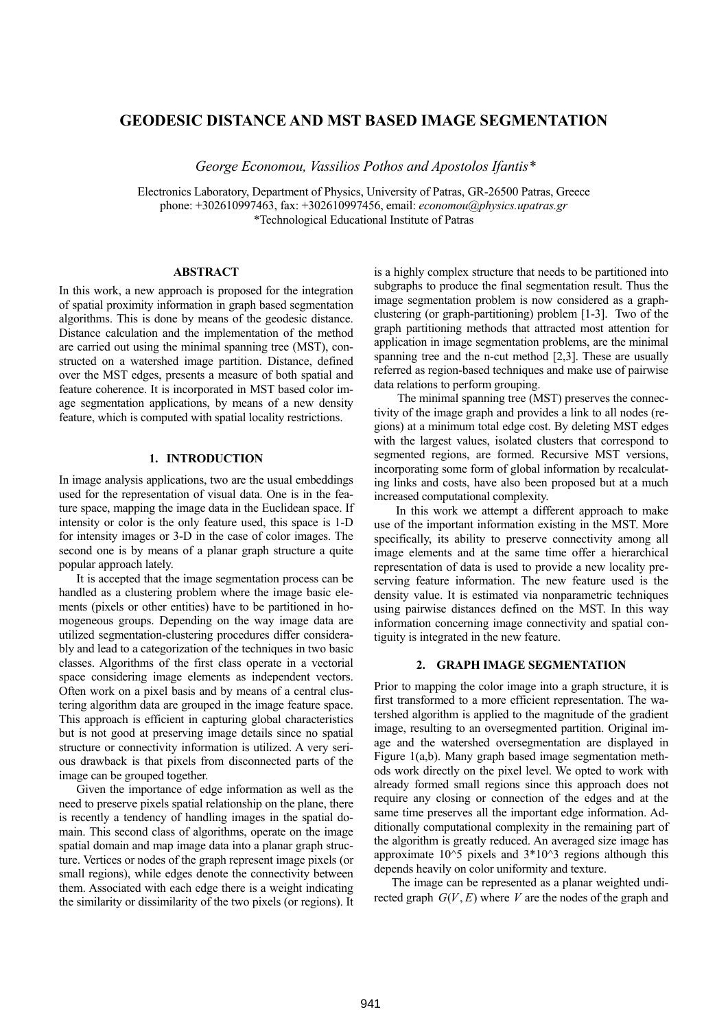# **GEODESIC DISTANCE AND MST BASED IMAGE SEGMENTATION**

 *George Economou, Vassilios Pothos and Apostolos Ifantis\** 

Electronics Laboratory, Department of Physics, University of Patras, GR-26500 Patras, Greece phone: +302610997463, fax: +302610997456, email: *economou@physics.upatras.gr*  \*Technological Educational Institute of Patras

#### **ABSTRACT**

In this work, a new approach is proposed for the integration of spatial proximity information in graph based segmentation algorithms. This is done by means of the geodesic distance. Distance calculation and the implementation of the method are carried out using the minimal spanning tree (MST), constructed on a watershed image partition. Distance, defined over the MST edges, presents a measure of both spatial and feature coherence. It is incorporated in MST based color image segmentation applications, by means of a new density feature, which is computed with spatial locality restrictions.

### **1. INTRODUCTION**

In image analysis applications, two are the usual embeddings used for the representation of visual data. One is in the feature space, mapping the image data in the Euclidean space. If intensity or color is the only feature used, this space is 1-D for intensity images or 3-D in the case of color images. The second one is by means of a planar graph structure a quite popular approach lately.

 It is accepted that the image segmentation process can be handled as a clustering problem where the image basic elements (pixels or other entities) have to be partitioned in homogeneous groups. Depending on the way image data are utilized segmentation-clustering procedures differ considerably and lead to a categorization of the techniques in two basic classes. Algorithms of the first class operate in a vectorial space considering image elements as independent vectors. Often work on a pixel basis and by means of a central clustering algorithm data are grouped in the image feature space. This approach is efficient in capturing global characteristics but is not good at preserving image details since no spatial structure or connectivity information is utilized. A very serious drawback is that pixels from disconnected parts of the image can be grouped together.

 Given the importance of edge information as well as the need to preserve pixels spatial relationship on the plane, there is recently a tendency of handling images in the spatial domain. This second class of algorithms, operate on the image spatial domain and map image data into a planar graph structure. Vertices or nodes of the graph represent image pixels (or small regions), while edges denote the connectivity between them. Associated with each edge there is a weight indicating the similarity or dissimilarity of the two pixels (or regions). It is a highly complex structure that needs to be partitioned into subgraphs to produce the final segmentation result. Thus the image segmentation problem is now considered as a graphclustering (or graph-partitioning) problem [1-3]. Two of the graph partitioning methods that attracted most attention for application in image segmentation problems, are the minimal spanning tree and the n-cut method [2,3]. These are usually referred as region-based techniques and make use of pairwise data relations to perform grouping.

 The minimal spanning tree (MST) preserves the connectivity of the image graph and provides a link to all nodes (regions) at a minimum total edge cost. By deleting MST edges with the largest values, isolated clusters that correspond to segmented regions, are formed. Recursive MST versions, incorporating some form of global information by recalculating links and costs, have also been proposed but at a much increased computational complexity.

In this work we attempt a different approach to make use of the important information existing in the MST. More specifically, its ability to preserve connectivity among all image elements and at the same time offer a hierarchical representation of data is used to provide a new locality preserving feature information. The new feature used is the density value. It is estimated via nonparametric techniques using pairwise distances defined on the MST. In this way information concerning image connectivity and spatial contiguity is integrated in the new feature.

#### **2. GRAPH IMAGE SEGMENTATION**

Prior to mapping the color image into a graph structure, it is first transformed to a more efficient representation. The watershed algorithm is applied to the magnitude of the gradient image, resulting to an oversegmented partition. Original image and the watershed oversegmentation are displayed in Figure 1(a,b). Many graph based image segmentation methods work directly on the pixel level. We opted to work with already formed small regions since this approach does not require any closing or connection of the edges and at the same time preserves all the important edge information. Additionally computational complexity in the remaining part of the algorithm is greatly reduced. An averaged size image has approximate  $10^{\circ}5$  pixels and  $3*10^{\circ}3$  regions although this depends heavily on color uniformity and texture.

The image can be represented as a planar weighted undirected graph  $G(V, E)$  where *V* are the nodes of the graph and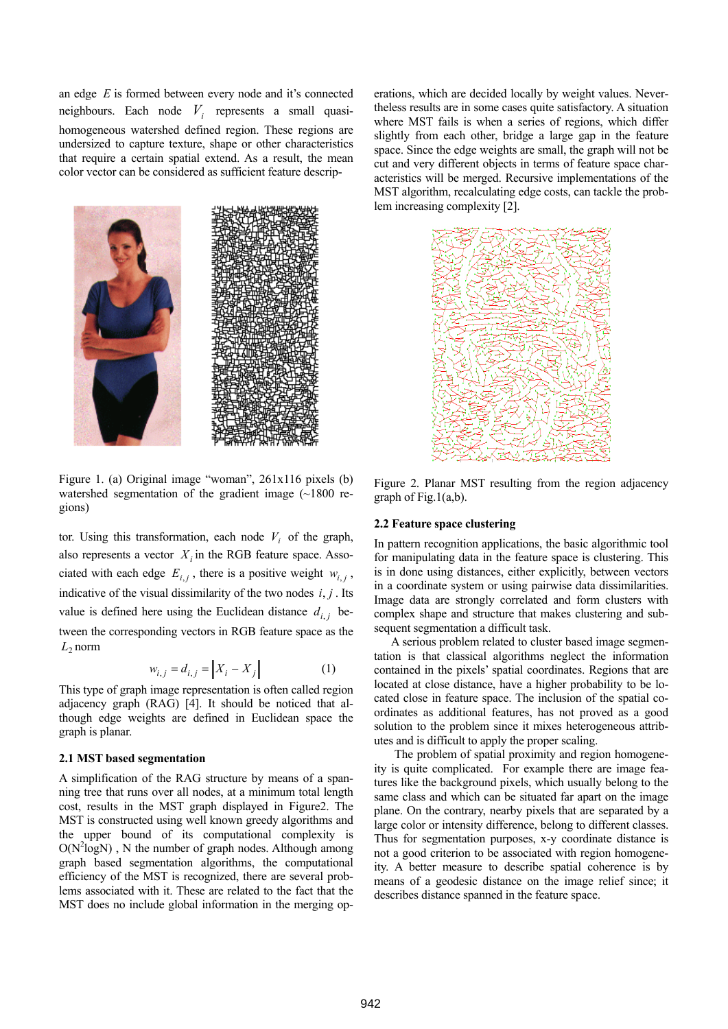an edge *E* is formed between every node and it's connected neighbours. Each node  $V_i$  represents a small quasihomogeneous watershed defined region. These regions are undersized to capture texture, shape or other characteristics that require a certain spatial extend. As a result, the mean color vector can be considered as sufficient feature descrip-



Figure 1. (a) Original image "woman", 261x116 pixels (b) watershed segmentation of the gradient image (~1800 regions)

also represents a vector  $X_i$  in the RGB feature space. Assotor. Using this transformation, each node  $V_i$  of the graph, ciated with each edge  $E_{i,j}$ , there is a positive weight  $w_{i,j}$ , indicative of the visual dissimilarity of the two nodes  $i, j$ . Its value is defined here using the Euclidean distance  $d_{i,j}$  between the corresponding vectors in RGB feature space as the  $L_2$  norm

$$
w_{i,j} = d_{i,j} = \|X_i - X_j\|
$$
 (1)

This type of graph image representation is often called region adjacency graph (RAG) [4]. It should be noticed that although edge weights are defined in Euclidean space the graph is planar.

# **2.1 MST based segmentation**

A simplification of the RAG structure by means of a spanning tree that runs over all nodes, at a minimum total length cost, results in the MST graph displayed in Figure2. The MST is constructed using well known greedy algorithms and the upper bound of its computational complexity is  $O(N^2 log N)$ , N the number of graph nodes. Although among graph based segmentation algorithms, the computational efficiency of the MST is recognized, there are several problems associated with it. These are related to the fact that the MST does no include global information in the merging operations, which are decided locally by weight values. Nevertheless results are in some cases quite satisfactory. A situation where MST fails is when a series of regions, which differ slightly from each other, bridge a large gap in the feature space. Since the edge weights are small, the graph will not be cut and very different objects in terms of feature space characteristics will be merged. Recursive implementations of the MST algorithm, recalculating edge costs, can tackle the problem increasing complexity [2].



Figure 2. Planar MST resulting from the region adjacency graph of Fig.1(a,b).

#### **2.2 Feature space clustering**

In pattern recognition applications, the basic algorithmic tool for manipulating data in the feature space is clustering. This is in done using distances, either explicitly, between vectors in a coordinate system or using pairwise data dissimilarities. Image data are strongly correlated and form clusters with complex shape and structure that makes clustering and subsequent segmentation a difficult task.

 A serious problem related to cluster based image segmentation is that classical algorithms neglect the information contained in the pixels' spatial coordinates. Regions that are located at close distance, have a higher probability to be located close in feature space. The inclusion of the spatial coordinates as additional features, has not proved as a good solution to the problem since it mixes heterogeneous attributes and is difficult to apply the proper scaling.

 The problem of spatial proximity and region homogeneity is quite complicated. For example there are image features like the background pixels, which usually belong to the same class and which can be situated far apart on the image plane. On the contrary, nearby pixels that are separated by a large color or intensity difference, belong to different classes. Thus for segmentation purposes, x-y coordinate distance is not a good criterion to be associated with region homogeneity. A better measure to describe spatial coherence is by means of a geodesic distance on the image relief since; it describes distance spanned in the feature space.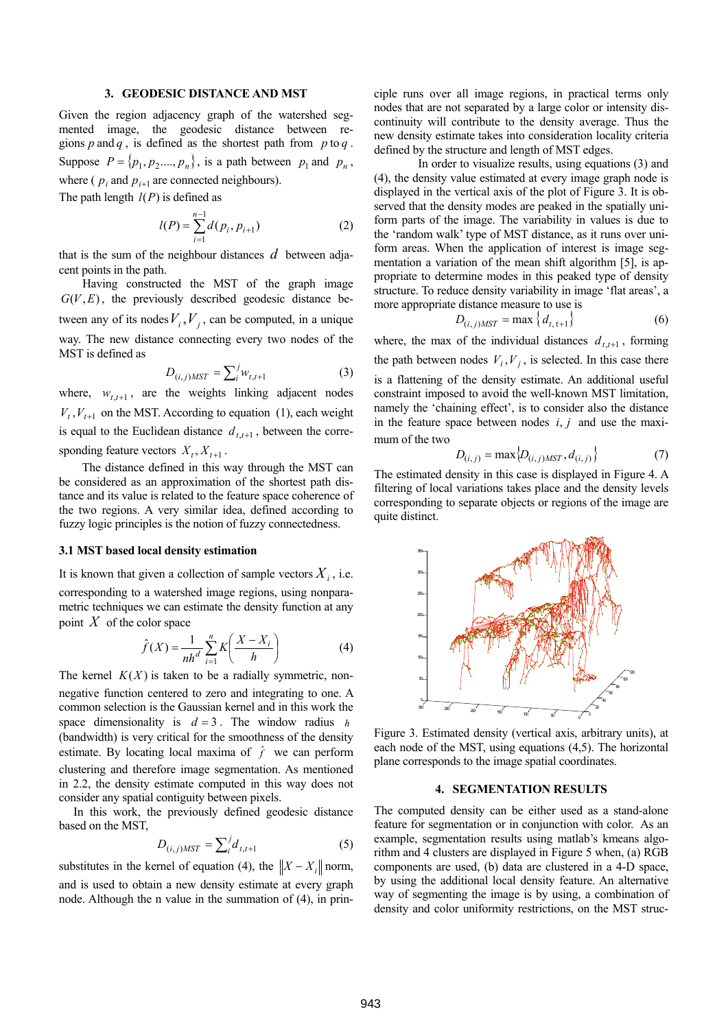### **3. GEODESIC DISTANCE AND MST**

Given the region adjacency graph of the watershed segmented image, the geodesic distance between regions p and q, is defined as the shortest path from  $p$  to q. Suppose  $P = \{p_1, p_2, \ldots, p_n\}$ , is a path between  $p_1$  and  $p_n$ , where ( $p_i$  and  $p_{i+1}$  are connected neighbours). The path length *l*(*P*) is defined as

$$
l(P) = \sum_{i=1}^{n-1} d(p_i, p_{i+1})
$$
 (2)

that is the sum of the neighbour distances  $d$  between adjacent points in the path.

 Having constructed the MST of the graph image  $G(V, E)$ , the previously described geodesic distance between any of its nodes  $V_i$ ,  $V_j$ , can be computed, in a unique way. The new distance connecting every two nodes of the MST is defined as

$$
D_{(i,j)MST} = \sum_{i}^{j} w_{t,t+1} \tag{3}
$$

where,  $w_{t,t+1}$ , are the weights linking adjacent nodes  $V_t$ ,  $V_{t+1}$  on the MST. According to equation (1), each weight is equal to the Euclidean distance  $d_{t,t+1}$ , between the corresponding feature vectors  $X_t, X_{t+1}$ .

 The distance defined in this way through the MST can be considered as an approximation of the shortest path distance and its value is related to the feature space coherence of the two regions. A very similar idea, defined according to fuzzy logic principles is the notion of fuzzy connectedness.

#### **3.1 MST based local density estimation**

It is known that given a collection of sample vectors  $X_i$ , i.e. corresponding to a watershed image regions, using nonparametric techniques we can estimate the density function at any point *X* of the color space

$$
\hat{f}(X) = \frac{1}{nh^d} \sum_{i=1}^n K\left(\frac{X - X_i}{h}\right) \tag{4}
$$

The kernel  $K(X)$  is taken to be a radially symmetric, nonnegative function centered to zero and integrating to one. A common selection is the Gaussian kernel and in this work the space dimensionality is  $d = 3$ . The window radius *h* (bandwidth) is very critical for the smoothness of the density estimate. By locating local maxima of  $\hat{f}$  we can perform clustering and therefore image segmentation. As mentioned in 2.2, the density estimate computed in this way does not consider any spatial contiguity between pixels.

In this work, the previously defined geodesic distance based on the MST,

$$
D_{(i,j)MST} = \sum_{i}^{j} d_{t,t+1}
$$
 (5)

substitutes in the kernel of equation (4), the  $||X - X_i||$  norm, and is used to obtain a new density estimate at every graph node. Although the n value in the summation of (4), in principle runs over all image regions, in practical terms only nodes that are not separated by a large color or intensity discontinuity will contribute to the density average. Thus the new density estimate takes into consideration locality criteria defined by the structure and length of MST edges.

In order to visualize results, using equations (3) and (4), the density value estimated at every image graph node is displayed in the vertical axis of the plot of Figure 3. It is observed that the density modes are peaked in the spatially uniform parts of the image. The variability in values is due to the 'random walk' type of MST distance, as it runs over uniform areas. When the application of interest is image segmentation a variation of the mean shift algorithm [5], is appropriate to determine modes in this peaked type of density structure. To reduce density variability in image 'flat areas', a more appropriate distance measure to use is

$$
D_{(i,j)MST} = \max\left\{d_{t, t+1}\right\} \tag{6}
$$

where, the max of the individual distances  $d_{t,t+1}$ , forming the path between nodes  $V_i$ ,  $V_j$ , is selected. In this case there is a flattening of the density estimate. An additional useful constraint imposed to avoid the well-known MST limitation,

namely the 'chaining effect', is to consider also the distance in the feature space between nodes  $i, j$  and use the maximum of the two

$$
D_{(i,j)} = \max\{D_{(i,j)MST}, d_{(i,j)}\}
$$
 (7)

The estimated density in this case is displayed in Figure 4. A filtering of local variations takes place and the density levels corresponding to separate objects or regions of the image are quite distinct.



Figure 3. Estimated density (vertical axis, arbitrary units), at each node of the MST, using equations (4,5). The horizontal plane corresponds to the image spatial coordinates.

### **4. SEGMENTATION RESULTS**

The computed density can be either used as a stand-alone feature for segmentation or in conjunction with color. As an example, segmentation results using matlab's kmeans algorithm and 4 clusters are displayed in Figure 5 when, (a) RGB components are used, (b) data are clustered in a 4-D space, by using the additional local density feature. An alternative way of segmenting the image is by using, a combination of density and color uniformity restrictions, on the MST struc